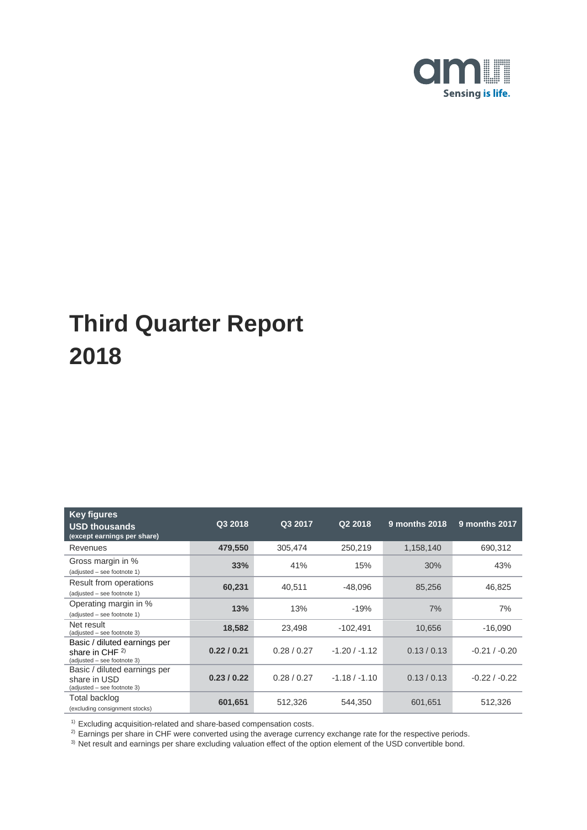

| <b>Key figures</b><br><b>USD thousands</b><br>(except earnings per share)        | Q3 2018   | Q3 2017     | Q2 2018         | 9 months 2018 | 9 months 2017   |
|----------------------------------------------------------------------------------|-----------|-------------|-----------------|---------------|-----------------|
| Revenues                                                                         | 479,550   | 305,474     | 250,219         | 1,158,140     | 690,312         |
| Gross margin in %<br>(adjusted - see footnote 1)                                 | 33%       | 41%         | 15%             | 30%           | 43%             |
| Result from operations<br>(adjusted - see footnote 1)                            | 60,231    | 40,511      | -48,096         | 85,256        | 46.825          |
| Operating margin in %<br>(adjusted - see footnote 1)                             | 13%       | 13%         | $-19%$          | 7%            | 7%              |
| Net result<br>(adjusted - see footnote 3)                                        | 18,582    | 23,498      | $-102,491$      | 10,656        | $-16,090$       |
| Basic / diluted earnings per<br>share in CHF $2)$<br>(adjusted - see footnote 3) | 0.22/0.21 | 0.28 / 0.27 | $-1.20/ -1.12$  | 0.13 / 0.13   | $-0.21 / -0.20$ |
| Basic / diluted earnings per<br>share in USD<br>(adjusted - see footnote 3)      | 0.23/0.22 | 0.28 / 0.27 | $-1.18 / -1.10$ | 0.13 / 0.13   | $-0.22 / -0.22$ |
| Total backlog<br>(excluding consignment stocks)                                  | 601,651   | 512,326     | 544,350         | 601,651       | 512,326         |

 $1)$  Excluding acquisition-related and share-based compensation costs.

 $^{2)}$  Earnings per share in CHF were converted using the average currency exchange rate for the respective periods.

 $3)$  Net result and earnings per share excluding valuation effect of the option element of the USD convertible bond.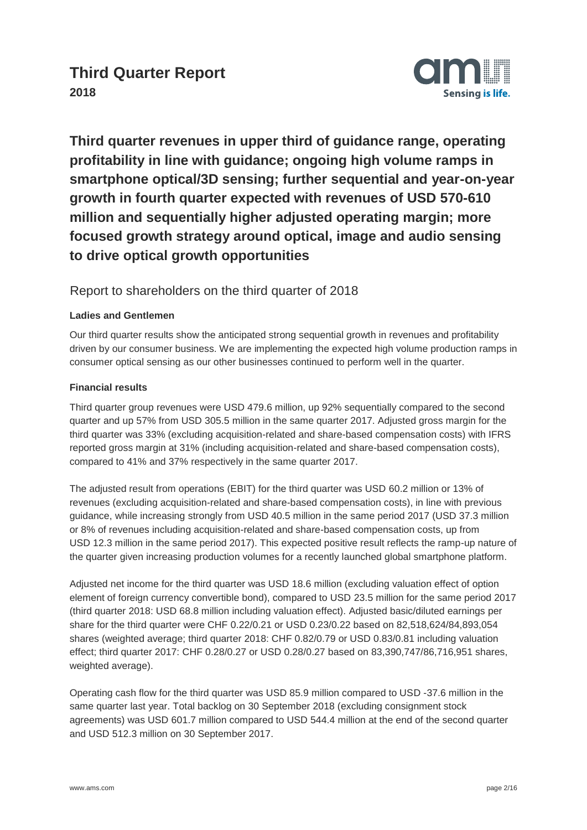

**Third quarter revenues in upper third of guidance range, operating profitability in line with guidance; ongoing high volume ramps in smartphone optical/3D sensing; further sequential and year-on-year growth in fourth quarter expected with revenues of USD 570-610 million and sequentially higher adjusted operating margin; more focused growth strategy around optical, image and audio sensing to drive optical growth opportunities**

## Report to shareholders on the third quarter of 2018

### **Ladies and Gentlemen**

Our third quarter results show the anticipated strong sequential growth in revenues and profitability driven by our consumer business. We are implementing the expected high volume production ramps in consumer optical sensing as our other businesses continued to perform well in the quarter.

#### **Financial results**

Third quarter group revenues were USD 479.6 million, up 92% sequentially compared to the second quarter and up 57% from USD 305.5 million in the same quarter 2017. Adjusted gross margin for the third quarter was 33% (excluding acquisition-related and share-based compensation costs) with IFRS reported gross margin at 31% (including acquisition-related and share-based compensation costs), compared to 41% and 37% respectively in the same quarter 2017.

The adjusted result from operations (EBIT) for the third quarter was USD 60.2 million or 13% of revenues (excluding acquisition-related and share-based compensation costs), in line with previous guidance, while increasing strongly from USD 40.5 million in the same period 2017 (USD 37.3 million or 8% of revenues including acquisition-related and share-based compensation costs, up from USD 12.3 million in the same period 2017). This expected positive result reflects the ramp-up nature of the quarter given increasing production volumes for a recently launched global smartphone platform.

Adjusted net income for the third quarter was USD 18.6 million (excluding valuation effect of option element of foreign currency convertible bond), compared to USD 23.5 million for the same period 2017 (third quarter 2018: USD 68.8 million including valuation effect). Adjusted basic/diluted earnings per share for the third quarter were CHF 0.22/0.21 or USD 0.23/0.22 based on 82,518,624/84,893,054 shares (weighted average; third quarter 2018: CHF 0.82/0.79 or USD 0.83/0.81 including valuation effect; third quarter 2017: CHF 0.28/0.27 or USD 0.28/0.27 based on 83,390,747/86,716,951 shares, weighted average).

Operating cash flow for the third quarter was USD 85.9 million compared to USD -37.6 million in the same quarter last year. Total backlog on 30 September 2018 (excluding consignment stock agreements) was USD 601.7 million compared to USD 544.4 million at the end of the second quarter and USD 512.3 million on 30 September 2017.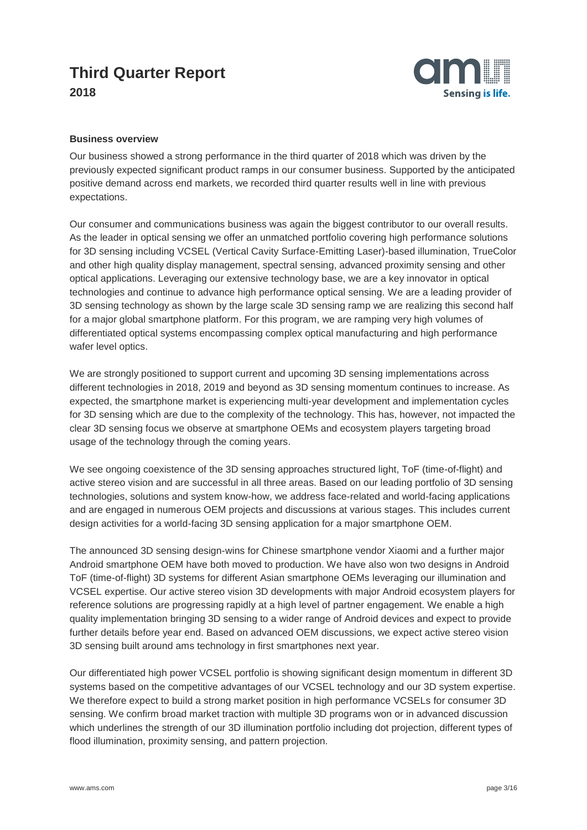

#### **Business overview**

Our business showed a strong performance in the third quarter of 2018 which was driven by the previously expected significant product ramps in our consumer business. Supported by the anticipated positive demand across end markets, we recorded third quarter results well in line with previous expectations.

Our consumer and communications business was again the biggest contributor to our overall results. As the leader in optical sensing we offer an unmatched portfolio covering high performance solutions for 3D sensing including VCSEL (Vertical Cavity Surface-Emitting Laser)-based illumination, TrueColor and other high quality display management, spectral sensing, advanced proximity sensing and other optical applications. Leveraging our extensive technology base, we are a key innovator in optical technologies and continue to advance high performance optical sensing. We are a leading provider of 3D sensing technology as shown by the large scale 3D sensing ramp we are realizing this second half for a major global smartphone platform. For this program, we are ramping very high volumes of differentiated optical systems encompassing complex optical manufacturing and high performance wafer level optics.

We are strongly positioned to support current and upcoming 3D sensing implementations across different technologies in 2018, 2019 and beyond as 3D sensing momentum continues to increase. As expected, the smartphone market is experiencing multi-year development and implementation cycles for 3D sensing which are due to the complexity of the technology. This has, however, not impacted the clear 3D sensing focus we observe at smartphone OEMs and ecosystem players targeting broad usage of the technology through the coming years.

We see ongoing coexistence of the 3D sensing approaches structured light, ToF (time-of-flight) and active stereo vision and are successful in all three areas. Based on our leading portfolio of 3D sensing technologies, solutions and system know-how, we address face-related and world-facing applications and are engaged in numerous OEM projects and discussions at various stages. This includes current design activities for a world-facing 3D sensing application for a major smartphone OEM.

The announced 3D sensing design-wins for Chinese smartphone vendor Xiaomi and a further major Android smartphone OEM have both moved to production. We have also won two designs in Android ToF (time-of-flight) 3D systems for different Asian smartphone OEMs leveraging our illumination and VCSEL expertise. Our active stereo vision 3D developments with major Android ecosystem players for reference solutions are progressing rapidly at a high level of partner engagement. We enable a high quality implementation bringing 3D sensing to a wider range of Android devices and expect to provide further details before year end. Based on advanced OEM discussions, we expect active stereo vision 3D sensing built around ams technology in first smartphones next year.

Our differentiated high power VCSEL portfolio is showing significant design momentum in different 3D systems based on the competitive advantages of our VCSEL technology and our 3D system expertise. We therefore expect to build a strong market position in high performance VCSELs for consumer 3D sensing. We confirm broad market traction with multiple 3D programs won or in advanced discussion which underlines the strength of our 3D illumination portfolio including dot projection, different types of flood illumination, proximity sensing, and pattern projection.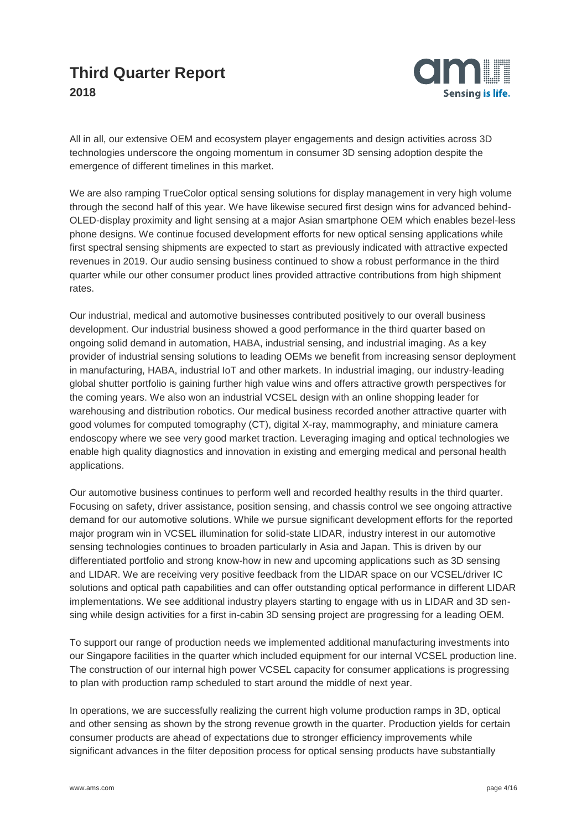

All in all, our extensive OEM and ecosystem player engagements and design activities across 3D technologies underscore the ongoing momentum in consumer 3D sensing adoption despite the emergence of different timelines in this market.

We are also ramping TrueColor optical sensing solutions for display management in very high volume through the second half of this year. We have likewise secured first design wins for advanced behind-OLED-display proximity and light sensing at a major Asian smartphone OEM which enables bezel-less phone designs. We continue focused development efforts for new optical sensing applications while first spectral sensing shipments are expected to start as previously indicated with attractive expected revenues in 2019. Our audio sensing business continued to show a robust performance in the third quarter while our other consumer product lines provided attractive contributions from high shipment rates.

Our industrial, medical and automotive businesses contributed positively to our overall business development. Our industrial business showed a good performance in the third quarter based on ongoing solid demand in automation, HABA, industrial sensing, and industrial imaging. As a key provider of industrial sensing solutions to leading OEMs we benefit from increasing sensor deployment in manufacturing, HABA, industrial IoT and other markets. In industrial imaging, our industry-leading global shutter portfolio is gaining further high value wins and offers attractive growth perspectives for the coming years. We also won an industrial VCSEL design with an online shopping leader for warehousing and distribution robotics. Our medical business recorded another attractive quarter with good volumes for computed tomography (CT), digital X-ray, mammography, and miniature camera endoscopy where we see very good market traction. Leveraging imaging and optical technologies we enable high quality diagnostics and innovation in existing and emerging medical and personal health applications.

Our automotive business continues to perform well and recorded healthy results in the third quarter. Focusing on safety, driver assistance, position sensing, and chassis control we see ongoing attractive demand for our automotive solutions. While we pursue significant development efforts for the reported major program win in VCSEL illumination for solid-state LIDAR, industry interest in our automotive sensing technologies continues to broaden particularly in Asia and Japan. This is driven by our differentiated portfolio and strong know-how in new and upcoming applications such as 3D sensing and LIDAR. We are receiving very positive feedback from the LIDAR space on our VCSEL/driver IC solutions and optical path capabilities and can offer outstanding optical performance in different LIDAR implementations. We see additional industry players starting to engage with us in LIDAR and 3D sensing while design activities for a first in-cabin 3D sensing project are progressing for a leading OEM.

To support our range of production needs we implemented additional manufacturing investments into our Singapore facilities in the quarter which included equipment for our internal VCSEL production line. The construction of our internal high power VCSEL capacity for consumer applications is progressing to plan with production ramp scheduled to start around the middle of next year.

In operations, we are successfully realizing the current high volume production ramps in 3D, optical and other sensing as shown by the strong revenue growth in the quarter. Production yields for certain consumer products are ahead of expectations due to stronger efficiency improvements while significant advances in the filter deposition process for optical sensing products have substantially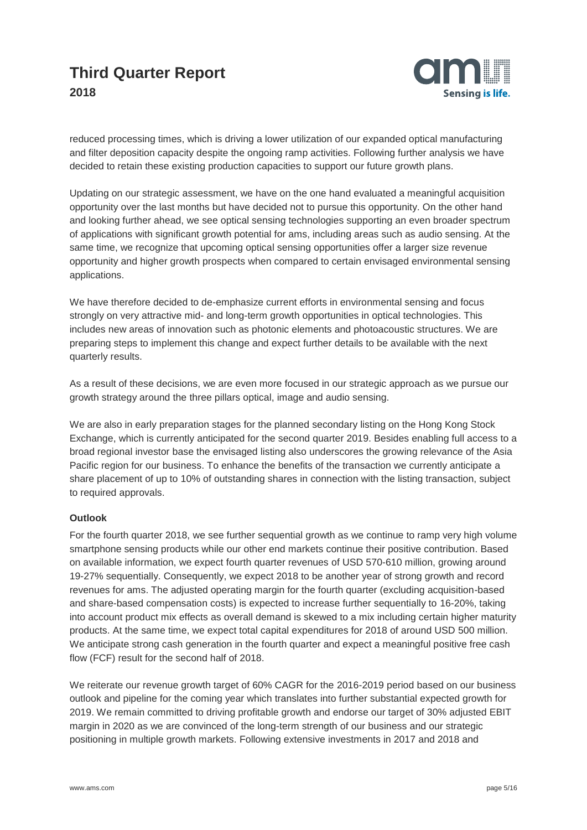

reduced processing times, which is driving a lower utilization of our expanded optical manufacturing and filter deposition capacity despite the ongoing ramp activities. Following further analysis we have decided to retain these existing production capacities to support our future growth plans.

Updating on our strategic assessment, we have on the one hand evaluated a meaningful acquisition opportunity over the last months but have decided not to pursue this opportunity. On the other hand and looking further ahead, we see optical sensing technologies supporting an even broader spectrum of applications with significant growth potential for ams, including areas such as audio sensing. At the same time, we recognize that upcoming optical sensing opportunities offer a larger size revenue opportunity and higher growth prospects when compared to certain envisaged environmental sensing applications.

We have therefore decided to de-emphasize current efforts in environmental sensing and focus strongly on very attractive mid- and long-term growth opportunities in optical technologies. This includes new areas of innovation such as photonic elements and photoacoustic structures. We are preparing steps to implement this change and expect further details to be available with the next quarterly results.

As a result of these decisions, we are even more focused in our strategic approach as we pursue our growth strategy around the three pillars optical, image and audio sensing.

We are also in early preparation stages for the planned secondary listing on the Hong Kong Stock Exchange, which is currently anticipated for the second quarter 2019. Besides enabling full access to a broad regional investor base the envisaged listing also underscores the growing relevance of the Asia Pacific region for our business. To enhance the benefits of the transaction we currently anticipate a share placement of up to 10% of outstanding shares in connection with the listing transaction, subject to required approvals.

#### **Outlook**

For the fourth quarter 2018, we see further sequential growth as we continue to ramp very high volume smartphone sensing products while our other end markets continue their positive contribution. Based on available information, we expect fourth quarter revenues of USD 570-610 million, growing around 19-27% sequentially. Consequently, we expect 2018 to be another year of strong growth and record revenues for ams. The adjusted operating margin for the fourth quarter (excluding acquisition-based and share-based compensation costs) is expected to increase further sequentially to 16-20%, taking into account product mix effects as overall demand is skewed to a mix including certain higher maturity products. At the same time, we expect total capital expenditures for 2018 of around USD 500 million. We anticipate strong cash generation in the fourth quarter and expect a meaningful positive free cash flow (FCF) result for the second half of 2018.

We reiterate our revenue growth target of 60% CAGR for the 2016-2019 period based on our business outlook and pipeline for the coming year which translates into further substantial expected growth for 2019. We remain committed to driving profitable growth and endorse our target of 30% adjusted EBIT margin in 2020 as we are convinced of the long-term strength of our business and our strategic positioning in multiple growth markets. Following extensive investments in 2017 and 2018 and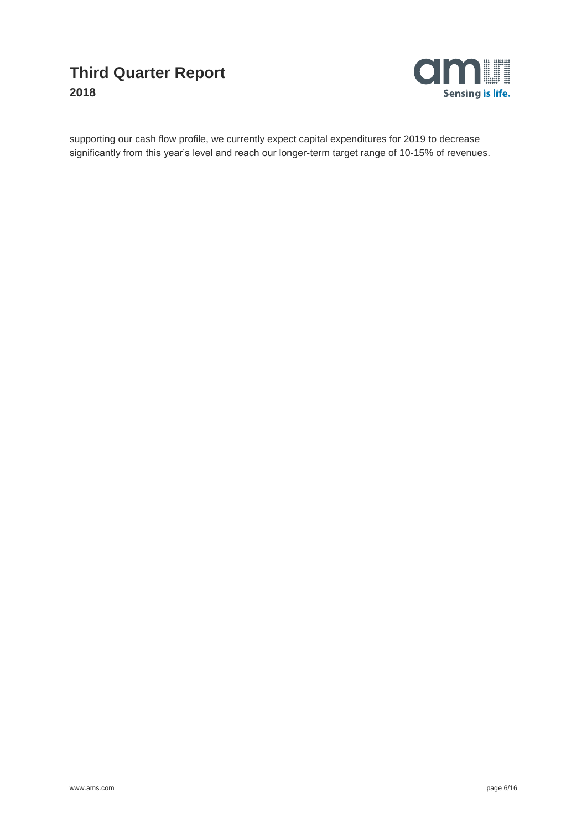

supporting our cash flow profile, we currently expect capital expenditures for 2019 to decrease significantly from this year's level and reach our longer-term target range of 10-15% of revenues.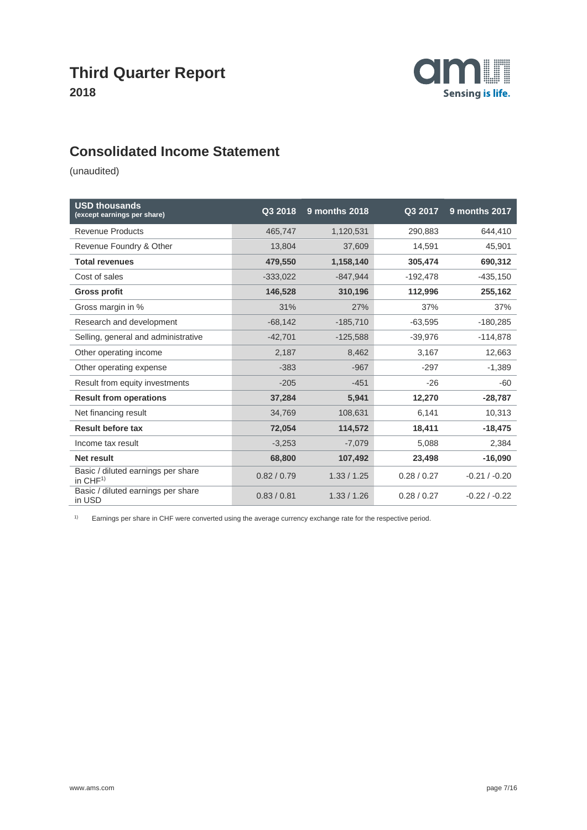

## **Consolidated Income Statement**

(unaudited)

| <b>USD thousands</b><br>(except earnings per share) | Q3 2018     | <b>9 months 2018</b> | Q3 2017     | 9 months 2017   |
|-----------------------------------------------------|-------------|----------------------|-------------|-----------------|
| <b>Revenue Products</b>                             | 465,747     | 1,120,531            | 290,883     | 644,410         |
| Revenue Foundry & Other                             | 13,804      | 37,609               | 14,591      | 45,901          |
| <b>Total revenues</b>                               | 479,550     | 1,158,140            | 305,474     | 690,312         |
| Cost of sales                                       | $-333,022$  | $-847,944$           | $-192,478$  | $-435,150$      |
| <b>Gross profit</b>                                 | 146,528     | 310,196              | 112,996     | 255,162         |
| Gross margin in %                                   | 31%         | 27%                  | 37%         | 37%             |
| Research and development                            | $-68,142$   | $-185,710$           | $-63,595$   | $-180,285$      |
| Selling, general and administrative                 | $-42,701$   | $-125,588$           | $-39,976$   | $-114,878$      |
| Other operating income                              | 2,187       | 8,462                | 3,167       | 12,663          |
| Other operating expense                             | $-383$      | $-967$               | $-297$      | $-1,389$        |
| Result from equity investments                      | $-205$      | $-451$               | $-26$       | $-60$           |
| <b>Result from operations</b>                       | 37,284      | 5,941                | 12,270      | $-28,787$       |
| Net financing result                                | 34,769      | 108,631              | 6,141       | 10,313          |
| <b>Result before tax</b>                            | 72,054      | 114,572              | 18,411      | $-18,475$       |
| Income tax result                                   | $-3,253$    | $-7,079$             | 5,088       | 2,384           |
| Net result                                          | 68,800      | 107,492              | 23,498      | $-16,090$       |
| Basic / diluted earnings per share<br>in $CHF1$     | 0.82 / 0.79 | 1.33 / 1.25          | 0.28 / 0.27 | $-0.21 / -0.20$ |
| Basic / diluted earnings per share<br>in USD        | 0.83 / 0.81 | 1.33 / 1.26          | 0.28/0.27   | $-0.22/ -0.22$  |

1) Earnings per share in CHF were converted using the average currency exchange rate for the respective period.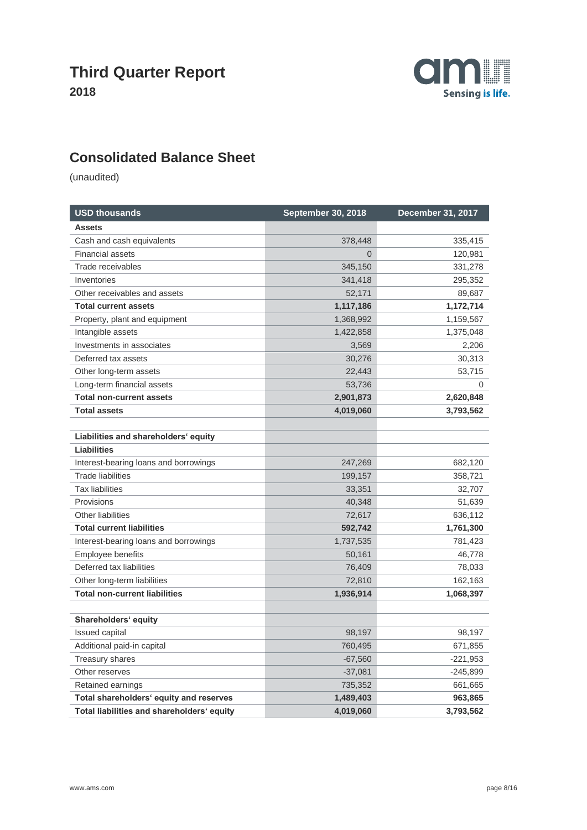

## **Consolidated Balance Sheet**

| <b>USD thousands</b>                       | <b>September 30, 2018</b> | December 31, 2017 |  |
|--------------------------------------------|---------------------------|-------------------|--|
| <b>Assets</b>                              |                           |                   |  |
| Cash and cash equivalents                  | 378,448                   | 335,415           |  |
| <b>Financial assets</b>                    | $\overline{0}$            | 120,981           |  |
| Trade receivables                          | 345,150                   | 331,278           |  |
| Inventories                                | 341,418                   | 295,352           |  |
| Other receivables and assets               | 52,171                    | 89,687            |  |
| <b>Total current assets</b>                | 1,117,186                 | 1,172,714         |  |
| Property, plant and equipment              | 1,368,992                 | 1,159,567         |  |
| Intangible assets                          | 1,422,858                 | 1,375,048         |  |
| Investments in associates                  | 3,569                     | 2,206             |  |
| Deferred tax assets                        | 30,276                    | 30,313            |  |
| Other long-term assets                     | 22,443                    | 53,715            |  |
| Long-term financial assets                 | 53,736                    | 0                 |  |
| <b>Total non-current assets</b>            | 2,901,873                 | 2,620,848         |  |
| <b>Total assets</b>                        | 4,019,060                 | 3,793,562         |  |
|                                            |                           |                   |  |
| Liabilities and shareholders' equity       |                           |                   |  |
| <b>Liabilities</b>                         |                           |                   |  |
| Interest-bearing loans and borrowings      | 247,269                   | 682,120           |  |
| Trade liabilities                          | 199,157                   | 358,721           |  |
| <b>Tax liabilities</b>                     | 33,351                    | 32,707            |  |
| Provisions                                 | 40,348                    | 51,639            |  |
| <b>Other liabilities</b>                   | 72,617                    | 636,112           |  |
| <b>Total current liabilities</b>           | 592,742                   | 1,761,300         |  |
| Interest-bearing loans and borrowings      | 1,737,535                 | 781,423           |  |
| Employee benefits                          | 50,161                    | 46,778            |  |
| Deferred tax liabilities                   | 76,409                    | 78,033            |  |
| Other long-term liabilities                | 72,810                    | 162,163           |  |
| <b>Total non-current liabilities</b>       | 1,936,914                 | 1,068,397         |  |
|                                            |                           |                   |  |
| Shareholders' equity                       |                           |                   |  |
| <b>Issued capital</b>                      | 98,197                    | 98,197            |  |
| Additional paid-in capital                 | 760,495                   | 671,855           |  |
| <b>Treasury shares</b>                     | $-67,560$                 | $-221,953$        |  |
| Other reserves                             | $-37,081$                 | $-245,899$        |  |
| Retained earnings                          | 735,352                   | 661,665           |  |
| Total shareholders' equity and reserves    | 1,489,403                 | 963,865           |  |
| Total liabilities and shareholders' equity | 4,019,060                 | 3,793,562         |  |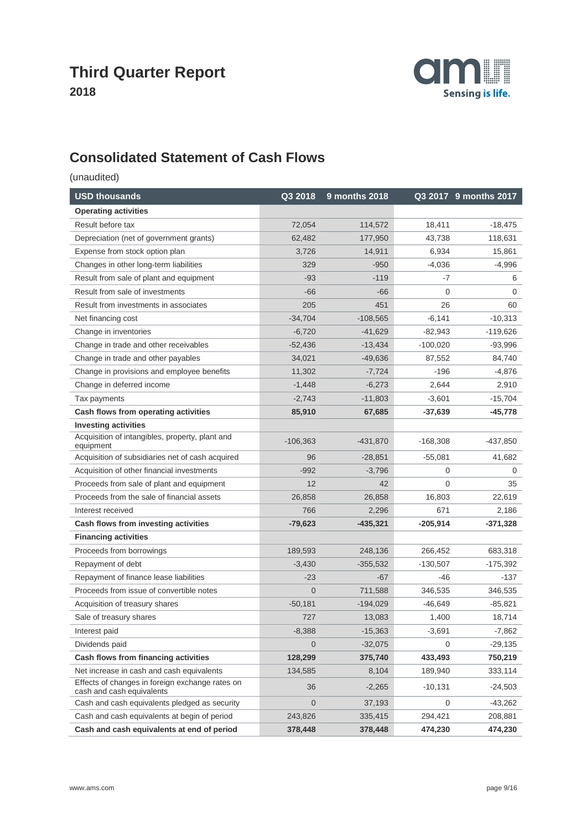

## **Consolidated Statement of Cash Flows**

| <b>USD thousands</b>                                                         | Q3 2018        | 9 months 2018 |            | Q3 2017 9 months 2017 |
|------------------------------------------------------------------------------|----------------|---------------|------------|-----------------------|
| <b>Operating activities</b>                                                  |                |               |            |                       |
| Result before tax                                                            | 72,054         | 114,572       | 18,411     | $-18,475$             |
| Depreciation (net of government grants)                                      | 62,482         | 177,950       | 43,738     | 118,631               |
| Expense from stock option plan                                               | 3,726          | 14,911        | 6,934      | 15,861                |
| Changes in other long-term liabilities                                       | 329            | $-950$        | $-4,036$   | $-4,996$              |
| Result from sale of plant and equipment                                      | $-93$          | $-119$        | $-7$       | 6                     |
| Result from sale of investments                                              | $-66$          | $-66$         | 0          | $\mathbf 0$           |
| Result from investments in associates                                        | 205            | 451           | 26         | 60                    |
| Net financing cost                                                           | $-34,704$      | $-108,565$    | $-6,141$   | $-10,313$             |
| Change in inventories                                                        | $-6,720$       | $-41,629$     | $-82,943$  | $-119,626$            |
| Change in trade and other receivables                                        | $-52,436$      | $-13,434$     | $-100,020$ | $-93,996$             |
| Change in trade and other payables                                           | 34,021         | $-49,636$     | 87,552     | 84,740                |
| Change in provisions and employee benefits                                   | 11,302         | $-7,724$      | $-196$     | -4,876                |
| Change in deferred income                                                    | $-1,448$       | $-6,273$      | 2,644      | 2,910                 |
| Tax payments                                                                 | $-2,743$       | $-11,803$     | $-3,601$   | $-15,704$             |
| Cash flows from operating activities                                         | 85,910         | 67,685        | $-37,639$  | $-45,778$             |
| <b>Investing activities</b>                                                  |                |               |            |                       |
| Acquisition of intangibles, property, plant and<br>equipment                 | $-106,363$     | $-431,870$    | $-168,308$ | $-437,850$            |
| Acquisition of subsidiaries net of cash acquired                             | 96             | $-28,851$     | $-55,081$  | 41,682                |
| Acquisition of other financial investments                                   | $-992$         | $-3,796$      | 0          | 0                     |
| Proceeds from sale of plant and equipment                                    | 12             | 42            | 0          | 35                    |
| Proceeds from the sale of financial assets                                   | 26,858         | 26,858        | 16,803     | 22,619                |
| Interest received                                                            | 766            | 2,296         | 671        | 2,186                 |
| Cash flows from investing activities                                         | $-79,623$      | $-435,321$    | $-205,914$ | $-371,328$            |
| <b>Financing activities</b>                                                  |                |               |            |                       |
| Proceeds from borrowings                                                     | 189,593        | 248,136       | 266,452    | 683,318               |
| Repayment of debt                                                            | $-3,430$       | $-355,532$    | $-130,507$ | $-175,392$            |
| Repayment of finance lease liabilities                                       | -23            | $-67$         | -46        | -137                  |
| Proceeds from issue of convertible notes                                     | $\overline{0}$ | 711,588       | 346,535    | 346,535               |
| Acquisition of treasury shares                                               | $-50,181$      | $-194,029$    | $-46,649$  | $-85,821$             |
| Sale of treasury shares                                                      | 727            | 13,083        | 1,400      | 18,714                |
| Interest paid                                                                | $-8,388$       | $-15,363$     | -3,691     | $-7,862$              |
| Dividends paid                                                               | 0              | $-32,075$     | 0          | $-29,135$             |
| Cash flows from financing activities                                         | 128,299        | 375,740       | 433,493    | 750,219               |
| Net increase in cash and cash equivalents                                    | 134,585        | 8,104         | 189,940    | 333,114               |
| Effects of changes in foreign exchange rates on<br>cash and cash equivalents | 36             | $-2,265$      | $-10,131$  | $-24,503$             |
| Cash and cash equivalents pledged as security                                | $\overline{0}$ | 37,193        | 0          | $-43,262$             |
| Cash and cash equivalents at begin of period                                 | 243,826        | 335,415       | 294,421    | 208,881               |
| Cash and cash equivalents at end of period                                   | 378,448        | 378,448       | 474,230    | 474,230               |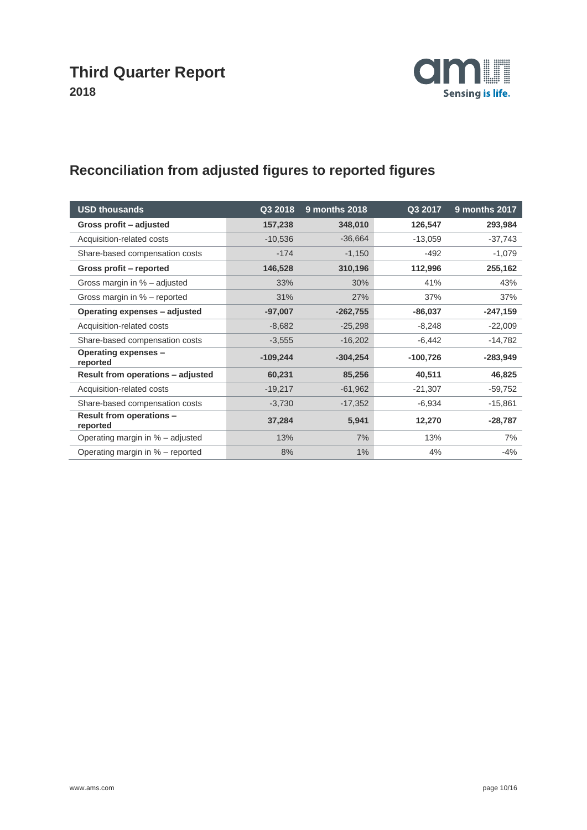

# **Reconciliation from adjusted figures to reported figures**

| <b>USD thousands</b>                        | Q3 2018    | 9 months 2018 | Q3 2017    | 9 months 2017 |
|---------------------------------------------|------------|---------------|------------|---------------|
| Gross profit - adjusted                     | 157,238    | 348,010       | 126,547    | 293,984       |
| Acquisition-related costs                   | $-10,536$  | $-36,664$     | $-13,059$  | $-37,743$     |
| Share-based compensation costs              | $-174$     | $-1,150$      | $-492$     | $-1,079$      |
| Gross profit - reported                     | 146,528    | 310,196       | 112,996    | 255,162       |
| Gross margin in % - adjusted                | 33%        | 30%           | 41%        | 43%           |
| Gross margin in % - reported                | 31%        | 27%           | 37%        | 37%           |
| Operating expenses - adjusted               | $-97,007$  | $-262,755$    | $-86,037$  | $-247,159$    |
| Acquisition-related costs                   | $-8,682$   | $-25,298$     | $-8,248$   | $-22,009$     |
| Share-based compensation costs              | $-3,555$   | $-16,202$     | $-6,442$   | $-14,782$     |
| Operating expenses -<br>reported            | $-109,244$ | $-304,254$    | $-100,726$ | $-283,949$    |
| Result from operations - adjusted           | 60,231     | 85,256        | 40,511     | 46,825        |
| Acquisition-related costs                   | $-19,217$  | $-61,962$     | $-21,307$  | $-59,752$     |
| Share-based compensation costs              | $-3,730$   | $-17,352$     | $-6,934$   | $-15,861$     |
| <b>Result from operations -</b><br>reported | 37,284     | 5,941         | 12,270     | $-28,787$     |
| Operating margin in % - adjusted            | 13%        | 7%            | 13%        | 7%            |
| Operating margin in % – reported            | 8%         | $1\%$         | 4%         | $-4%$         |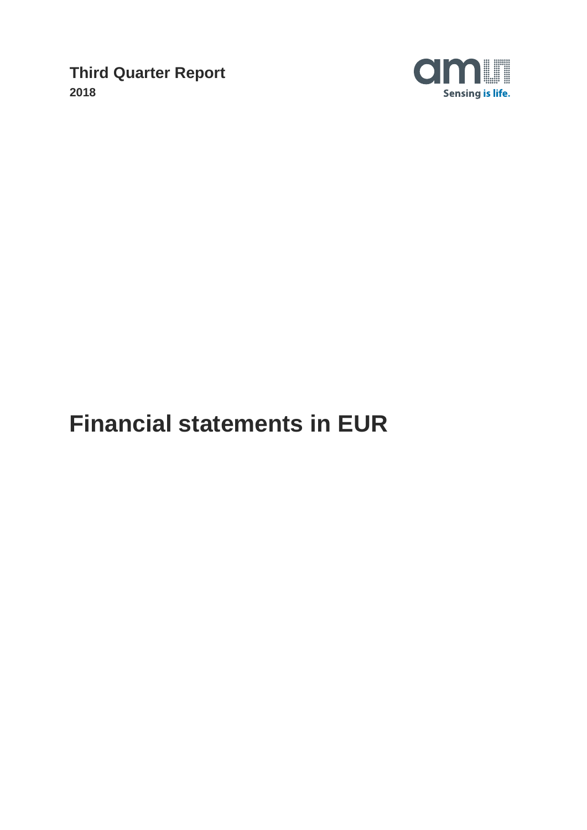

# **Financial statements in EUR**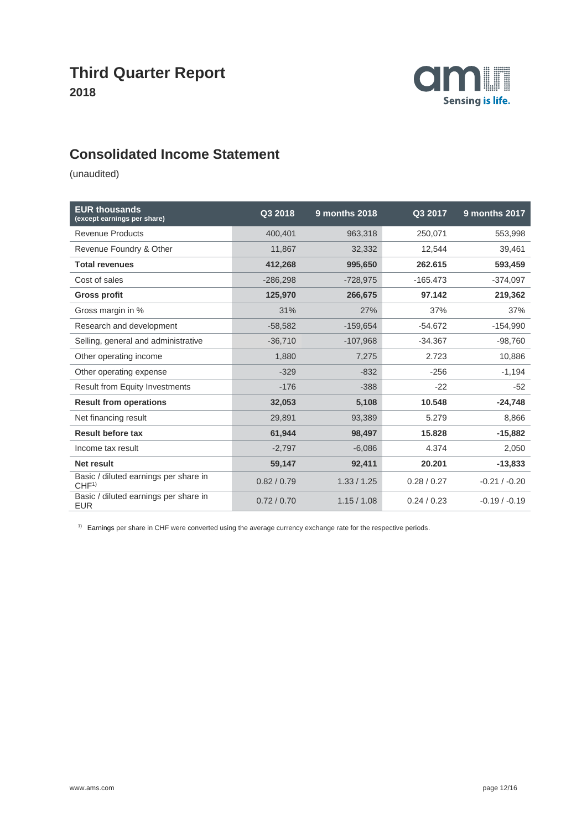

## **Consolidated Income Statement**

(unaudited)

| <b>EUR thousands</b><br>(except earnings per share)       | Q3 2018     | 9 months 2018 | Q3 2017     | <b>9 months 2017</b> |
|-----------------------------------------------------------|-------------|---------------|-------------|----------------------|
| <b>Revenue Products</b>                                   | 400,401     | 963,318       | 250,071     | 553,998              |
| Revenue Foundry & Other                                   | 11,867      | 32,332        | 12,544      | 39,461               |
| <b>Total revenues</b>                                     | 412,268     | 995,650       | 262.615     | 593,459              |
| Cost of sales                                             | $-286,298$  | $-728,975$    | $-165.473$  | $-374,097$           |
| <b>Gross profit</b>                                       | 125,970     | 266,675       | 97.142      | 219,362              |
| Gross margin in %                                         | 31%         | 27%           | 37%         | 37%                  |
| Research and development                                  | $-58,582$   | $-159,654$    | $-54.672$   | $-154,990$           |
| Selling, general and administrative                       | $-36,710$   | $-107,968$    | $-34.367$   | $-98,760$            |
| Other operating income                                    | 1,880       | 7,275         | 2.723       | 10,886               |
| Other operating expense                                   | $-329$      | $-832$        | $-256$      | $-1,194$             |
| <b>Result from Equity Investments</b>                     | $-176$      | $-388$        | $-22$       | $-52$                |
| <b>Result from operations</b>                             | 32,053      | 5,108         | 10.548      | $-24,748$            |
| Net financing result                                      | 29,891      | 93,389        | 5.279       | 8,866                |
| <b>Result before tax</b>                                  | 61,944      | 98,497        | 15.828      | $-15,882$            |
| Income tax result                                         | $-2,797$    | $-6,086$      | 4.374       | 2,050                |
| <b>Net result</b>                                         | 59,147      | 92,411        | 20.201      | $-13,833$            |
| Basic / diluted earnings per share in<br>CHF <sup>1</sup> | 0.82 / 0.79 | 1.33 / 1.25   | 0.28 / 0.27 | $-0.21 / -0.20$      |
| Basic / diluted earnings per share in<br><b>EUR</b>       | 0.72/0.70   | 1.15/1.08     | 0.24/0.23   | $-0.19 / -0.19$      |

<sup>1)</sup> Earnings per share in CHF were converted using the average currency exchange rate for the respective periods.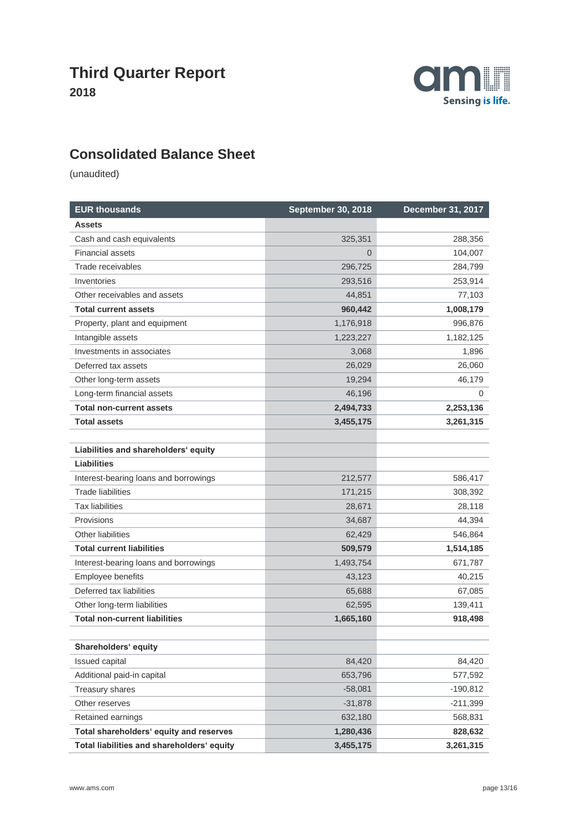

# **Consolidated Balance Sheet**

| <b>EUR thousands</b>                       | <b>September 30, 2018</b> | <b>December 31, 2017</b> |
|--------------------------------------------|---------------------------|--------------------------|
| <b>Assets</b>                              |                           |                          |
| Cash and cash equivalents                  | 325,351                   | 288,356                  |
| <b>Financial assets</b>                    | $\Omega$                  | 104,007                  |
| Trade receivables                          | 296,725                   | 284,799                  |
| Inventories                                | 293,516                   | 253,914                  |
| Other receivables and assets               | 44,851                    | 77,103                   |
| <b>Total current assets</b>                | 960,442                   | 1,008,179                |
| Property, plant and equipment              | 1,176,918                 | 996,876                  |
| Intangible assets                          | 1,223,227                 | 1,182,125                |
| Investments in associates                  | 3,068                     | 1,896                    |
| Deferred tax assets                        | 26,029                    | 26,060                   |
| Other long-term assets                     | 19,294                    | 46,179                   |
| Long-term financial assets                 | 46,196                    | 0                        |
| <b>Total non-current assets</b>            | 2,494,733                 | 2,253,136                |
| <b>Total assets</b>                        | 3,455,175                 | 3,261,315                |
|                                            |                           |                          |
| Liabilities and shareholders' equity       |                           |                          |
| <b>Liabilities</b>                         |                           |                          |
| Interest-bearing loans and borrowings      | 212,577                   | 586,417                  |
| <b>Trade liabilities</b>                   | 171,215                   | 308,392                  |
| <b>Tax liabilities</b>                     | 28,671                    | 28,118                   |
| Provisions                                 | 34,687                    | 44,394                   |
| Other liabilities                          | 62,429                    | 546,864                  |
| <b>Total current liabilities</b>           | 509,579                   | 1,514,185                |
| Interest-bearing loans and borrowings      | 1,493,754                 | 671,787                  |
| Employee benefits                          | 43,123                    | 40,215                   |
| Deferred tax liabilities                   | 65,688                    | 67,085                   |
| Other long-term liabilities                | 62,595                    | 139,411                  |
| <b>Total non-current liabilities</b>       | 1,665,160                 | 918,498                  |
|                                            |                           |                          |
| Shareholders' equity                       |                           |                          |
| Issued capital                             | 84,420                    | 84,420                   |
| Additional paid-in capital                 | 653,796                   | 577,592                  |
| Treasury shares                            | $-58,081$                 | $-190,812$               |
| Other reserves                             | $-31,878$                 | $-211,399$               |
| Retained earnings                          | 632,180                   | 568,831                  |
| Total shareholders' equity and reserves    | 1,280,436                 | 828,632                  |
| Total liabilities and shareholders' equity | 3,455,175                 | 3,261,315                |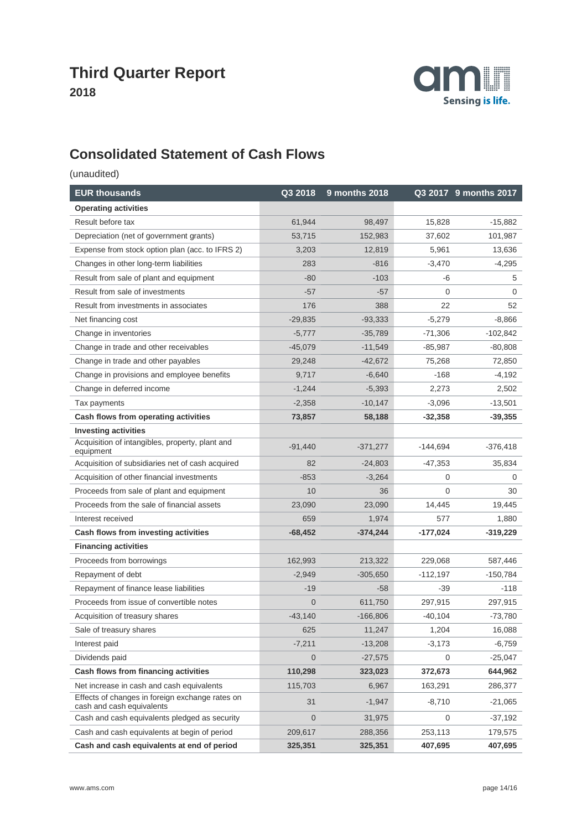

# **Consolidated Statement of Cash Flows**

| <b>EUR thousands</b>                                                         | Q3 2018        | 9 months 2018 |                | Q3 2017 9 months 2017 |
|------------------------------------------------------------------------------|----------------|---------------|----------------|-----------------------|
| <b>Operating activities</b>                                                  |                |               |                |                       |
| Result before tax                                                            | 61,944         | 98,497        | 15,828         | $-15,882$             |
| Depreciation (net of government grants)                                      | 53,715         | 152,983       | 37,602         | 101,987               |
| Expense from stock option plan (acc. to IFRS 2)                              | 3,203          | 12,819        | 5,961          | 13,636                |
| Changes in other long-term liabilities                                       | 283            | $-816$        | $-3,470$       | $-4,295$              |
| Result from sale of plant and equipment                                      | $-80$          | $-103$        | -6             | 5                     |
| Result from sale of investments                                              | $-57$          | $-57$         | 0              | 0                     |
| Result from investments in associates                                        | 176            | 388           | 22             | 52                    |
| Net financing cost                                                           | $-29,835$      | $-93,333$     | $-5,279$       | -8,866                |
| Change in inventories                                                        | $-5,777$       | $-35,789$     | $-71,306$      | $-102,842$            |
| Change in trade and other receivables                                        | $-45,079$      | $-11,549$     | $-85,987$      | $-80,808$             |
| Change in trade and other payables                                           | 29,248         | $-42,672$     | 75,268         | 72,850                |
| Change in provisions and employee benefits                                   | 9,717          | $-6,640$      | $-168$         | $-4,192$              |
| Change in deferred income                                                    | $-1,244$       | $-5,393$      | 2,273          | 2,502                 |
| Tax payments                                                                 | $-2,358$       | $-10,147$     | $-3,096$       | $-13,501$             |
| Cash flows from operating activities                                         | 73,857         | 58,188        | $-32,358$      | $-39,355$             |
| <b>Investing activities</b>                                                  |                |               |                |                       |
| Acquisition of intangibles, property, plant and<br>equipment                 | $-91,440$      | $-371,277$    | $-144,694$     | $-376,418$            |
| Acquisition of subsidiaries net of cash acquired                             | 82             | $-24,803$     | $-47,353$      | 35,834                |
| Acquisition of other financial investments                                   | $-853$         | $-3,264$      | 0              | 0                     |
| Proceeds from sale of plant and equipment                                    | 10             | 36            | $\overline{0}$ | 30                    |
| Proceeds from the sale of financial assets                                   | 23,090         | 23,090        | 14,445         | 19,445                |
| Interest received                                                            | 659            | 1,974         | 577            | 1,880                 |
| Cash flows from investing activities                                         | $-68,452$      | $-374,244$    | -177,024       | $-319,229$            |
| <b>Financing activities</b>                                                  |                |               |                |                       |
| Proceeds from borrowings                                                     | 162,993        | 213,322       | 229,068        | 587,446               |
| Repayment of debt                                                            | $-2,949$       | $-305,650$    | $-112,197$     | $-150,784$            |
| Repayment of finance lease liabilities                                       | $-19$          | $-58$         | $-39$          | $-118$                |
| Proceeds from issue of convertible notes                                     | $\overline{0}$ | 611,750       | 297,915        | 297,915               |
| Acquisition of treasury shares                                               | $-43,140$      | $-166,806$    | $-40,104$      | $-73,780$             |
| Sale of treasury shares                                                      | 625            | 11,247        | 1,204          | 16,088                |
| Interest paid                                                                | $-7,211$       | $-13,208$     | $-3,173$       | -6,759                |
| Dividends paid                                                               | $\overline{0}$ | $-27,575$     | 0              | $-25,047$             |
| Cash flows from financing activities                                         | 110,298        | 323,023       | 372,673        | 644,962               |
| Net increase in cash and cash equivalents                                    | 115,703        | 6,967         | 163,291        | 286,377               |
| Effects of changes in foreign exchange rates on<br>cash and cash equivalents | 31             | $-1,947$      | $-8,710$       | $-21,065$             |
| Cash and cash equivalents pledged as security                                | $\overline{0}$ | 31,975        | 0              | $-37,192$             |
| Cash and cash equivalents at begin of period                                 | 209,617        | 288,356       | 253,113        | 179,575               |
| Cash and cash equivalents at end of period                                   | 325,351        | 325,351       | 407,695        | 407,695               |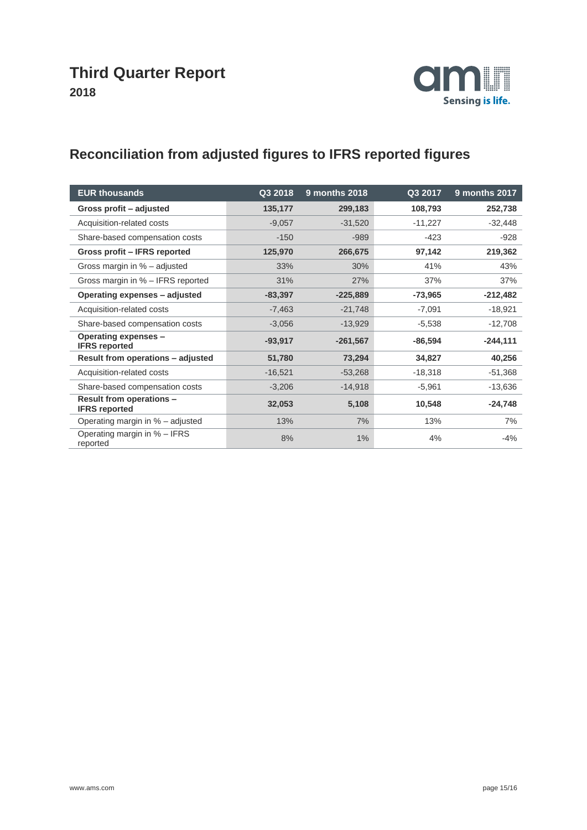

# **Reconciliation from adjusted figures to IFRS reported figures**

| <b>EUR thousands</b>                             | Q3 2018   | 9 months 2018 | Q3 2017   | 9 months 2017 |
|--------------------------------------------------|-----------|---------------|-----------|---------------|
| Gross profit - adjusted                          | 135,177   | 299,183       | 108,793   | 252,738       |
| Acquisition-related costs                        | $-9,057$  | $-31,520$     | $-11,227$ | $-32,448$     |
| Share-based compensation costs                   | $-150$    | $-989$        | $-423$    | $-928$        |
| Gross profit - IFRS reported                     | 125,970   | 266,675       | 97,142    | 219,362       |
| Gross margin in % - adjusted                     | 33%       | 30%           | 41%       | 43%           |
| Gross margin in % - IFRS reported                | 31%       | 27%           | 37%       | 37%           |
| Operating expenses - adjusted                    | $-83,397$ | $-225,889$    | $-73,965$ | $-212,482$    |
| Acquisition-related costs                        | $-7,463$  | $-21,748$     | $-7,091$  | $-18,921$     |
| Share-based compensation costs                   | $-3,056$  | $-13,929$     | $-5,538$  | $-12,708$     |
| Operating expenses -<br><b>IFRS</b> reported     | $-93,917$ | $-261,567$    | $-86,594$ | $-244,111$    |
| Result from operations - adjusted                | 51,780    | 73,294        | 34,827    | 40,256        |
| Acquisition-related costs                        | $-16,521$ | $-53,268$     | $-18,318$ | $-51,368$     |
| Share-based compensation costs                   | $-3,206$  | $-14,918$     | $-5,961$  | $-13,636$     |
| Result from operations -<br><b>IFRS reported</b> | 32,053    | 5,108         | 10,548    | $-24,748$     |
| Operating margin in % – adjusted                 | 13%       | 7%            | 13%       | 7%            |
| Operating margin in % - IFRS<br>reported         | 8%        | $1\%$         | 4%        | $-4%$         |